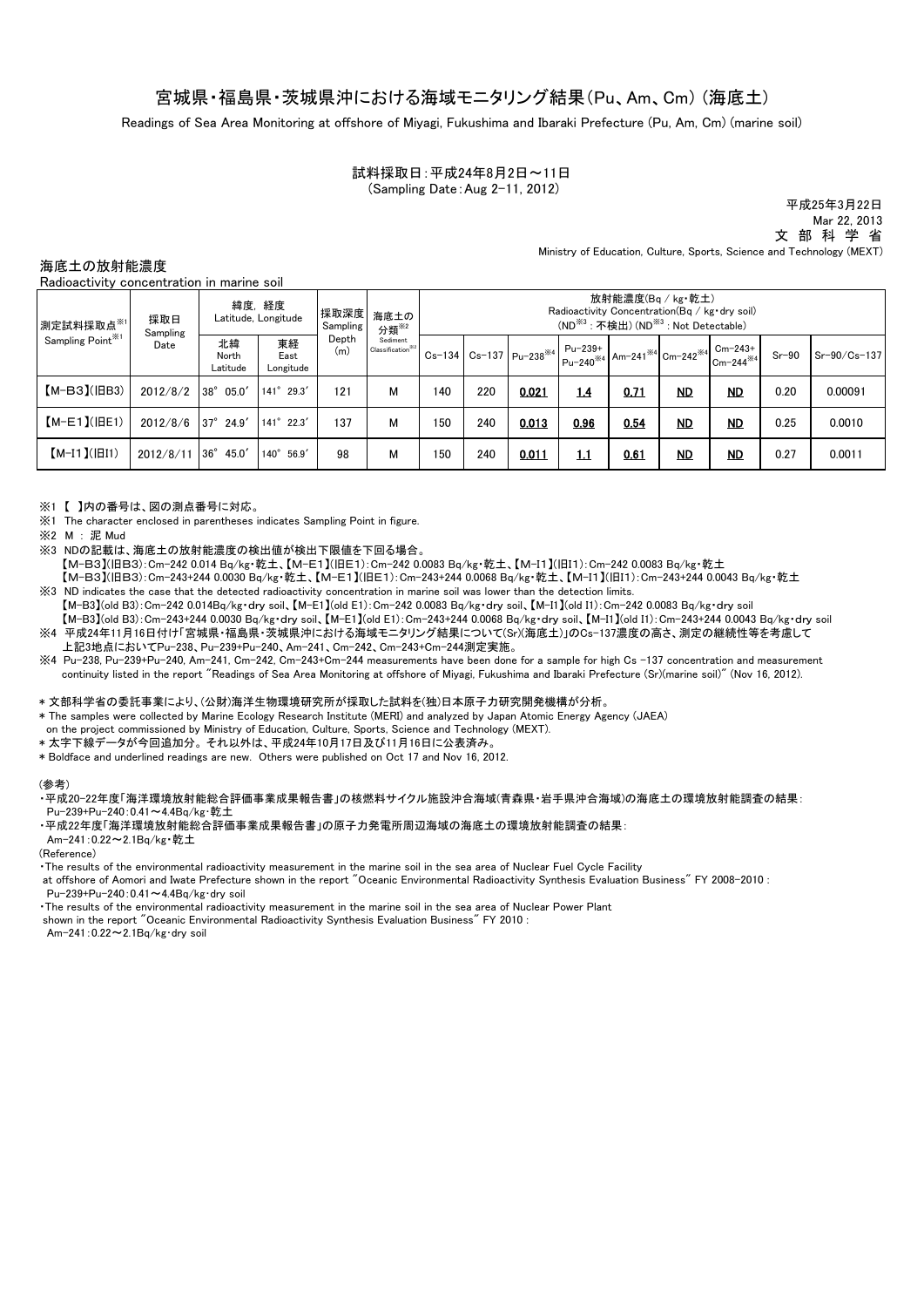## 宮城県・福島県・茨城県沖における海域モニタリング結果(Pu、Am、Cm) (海底土)

Readings of Sea Area Monitoring at offshore of Miyagi, Fukushima and Ibaraki Prefecture (Pu, Am, Cm) (marine soil)

## 試料採取日:平成24年8月2日~11日 (Sampling Date:Aug 2-11, 2012)

平成25年3月22日 Mar 22, 2013 文 部 科 学 省 Ministry of Education, Culture, Sports, Science and Technology (MEXT)

海底土の放射能濃度

Radioactivity concentration in marine soil

| 測定試料採取点※1<br>Sampling Point <sup>361</sup> | 採取日<br>Sampling<br>Date | 緯度, 経度<br>Latitude. Longitude |                         | 採取深度<br>Sampling | 海底土の<br>分類 <sup>※2</sup>                  | 放射能濃度(Bq / kg·乾土)<br>Radioactivity Concentration (Bq / kg·dry soil)<br>(ND <sup>※3</sup> : 不検出) (ND <sup>※3</sup> : Not Detectable) |     |                                                                         |      |      |           |                                                                                                                                  |         |              |
|--------------------------------------------|-------------------------|-------------------------------|-------------------------|------------------|-------------------------------------------|-------------------------------------------------------------------------------------------------------------------------------------|-----|-------------------------------------------------------------------------|------|------|-----------|----------------------------------------------------------------------------------------------------------------------------------|---------|--------------|
|                                            |                         | 北緯<br>North<br>Latitude       | 東経<br>East<br>Longitude | Depth<br>(m)     | Sediment<br>Classification <sup>362</sup> |                                                                                                                                     |     | $\text{Cs} - 134 \mid \text{Cs} - 137 \mid \text{Pu} - 238^{*4} \mid$ . |      |      |           | $\left[\begin{array}{c} Pu-239+ \\ Pu-240^{*4} \end{array}\right]$ Am-241 <sup>*4</sup> Cm-242 <sup>*4</sup> Cm-243 <sup>+</sup> | $Sr-90$ | Sr-90/Cs-137 |
| $[M-B3]$ ( $ BB3$ )                        | 2012/8/2                | $38^{\circ}$ 05.0'            | $141^{\circ}$ 29.3'     | 121              | м                                         | 140                                                                                                                                 | 220 | 0.021                                                                   | 1.4  | 0.71 | <u>ND</u> | <u>ND</u>                                                                                                                        | 0.20    | 0.00091      |
| $[M-E1]( BE1)$                             | 2012/8/6                | $37^\circ$ 24.9'              | $141^{\circ}$ 22.3'     | 137              | м                                         | 150                                                                                                                                 | 240 | 0.013                                                                   | 0.96 | 0.54 | <u>ND</u> | <b>ND</b>                                                                                                                        | 0.25    | 0.0010       |
| $[M-I1](\vert \vert II1)$                  | 2012/8/11               | $36^\circ$<br>45.0'           | 56.9'<br>$140^\circ$    | 98               | м                                         | 150                                                                                                                                 | 240 | 0.011                                                                   | 1.1  | 0.61 | <b>ND</b> | <b>ND</b>                                                                                                                        | 0.27    | 0.0011       |

※1【 】内の番号は、図の測点番号に対応。

- ※1 The character enclosed in parentheses indicates Sampling Point in figure.
- ※2 M : 泥 Mud
- ※3 NDの記載は、海底土の放射能濃度の検出値が検出下限値を下回る場合。
- 【M-B3】(旧B3):Cm-242 0.014 Bq/kg・乾土、【M-E1】(旧E1):Cm-242 0.0083 Bq/kg・乾土、【M-I1】(旧I1):Cm-242 0.0083 Bq/kg・乾土
- 【M-B3】(旧B3):Cm-243+244 0.0030 Bq/kg・乾土、【M-E1】(旧E1):Cm-243+244 0.0068 Bq/kg・乾土、【M-I1】(旧I1):Cm-243+244 0.0043 Bq/kg・乾土 ※3 ND indicates the case that the detected radioactivity concentration in marine soil was lower than the detection limits.
- 【M-B3】(old B3):Cm-242 0.014Bq/kg・dry soil、【M-E1】(old E1):Cm-242 0.0083 Bq/kg・dry soil、【M-I1】(old I1):Cm-242 0.0083 Bq/kg・dry soil 【M-B3】(old B3):Cm-243+244 0.0030 Bq/kg・dry soil、【M-E1】(old E1):Cm-243+244 0.0068 Bq/kg・dry soil、【M-I1】(old I1):Cm-243+244 0.0043 Bq/kg・dry soil ※4 平成24年11月16日付け「宮城県・福島県・茨城県沖における海域モニタリング結果について(Sr)(海底土)」のCs-137濃度の高さ、測定の継続性等を考慮して 上記3地点においてPu-238、Pu-239+Pu-240、Am-241、Cm-242、Cm-243+Cm-244測定実施。
- ※4 Pu-238, Pu-239+Pu-240, Am-241, Cm-242, Cm-243+Cm-244 measurements have been done for a sample for high Cs -137 concentration and measurement continuity listed in the report "Readings of Sea Area Monitoring at offshore of Miyagi, Fukushima and Ibaraki Prefecture (Sr)(marine soil)" (Nov 16, 2012).

### \* 文部科学省の委託事業により、(公財)海洋生物環境研究所が採取した試料を(独)日本原子力研究開発機構が分析。

- \* The samples were collected by Marine Ecology Research Institute (MERI) and analyzed by Japan Atomic Energy Agency (JAEA)
- on the project commissioned by Ministry of Education, Culture, Sports, Science and Technology (MEXT).
- \* 太字下線データが今回追加分。 それ以外は、平成24年10月17日及び11月16日に公表済み。
- \* Boldface and underlined readings are new. Others were published on Oct 17 and Nov 16, 2012.

#### (参考)

- ・平成20-22年度「海洋環境放射能総合評価事業成果報告書」の核燃料サイクル施設沖合海域(青森県・岩手県沖合海域)の海底土の環境放射能調査の結果: Pu-239+Pu-240:0.41~4.4Bq/kg・乾土
- ・平成22年度「海洋環境放射能総合評価事業成果報告書」の原子力発電所周辺海域の海底土の環境放射能調査の結果:

Am-241:0.22~2.1Bq/kg・乾土

#### (Reference)

・The results of the environmental radioactivity measurement in the marine soil in the sea area of Nuclear Fuel Cycle Facility

at offshore of Aomori and Iwate Prefecture shown in the report "Oceanic Environmental Radioactivity Synthesis Evaluation Business" FY 2008-2010 : Pu-239+Pu-240:0.41~4.4Bq/kg・dry soil

・The results of the environmental radioactivity measurement in the marine soil in the sea area of Nuclear Power Plant

shown in the report "Oceanic Environmental Radioactivity Synthesis Evaluation Business" FY 2010 : Am-241:0.22~2.1Bq/kg・dry soil